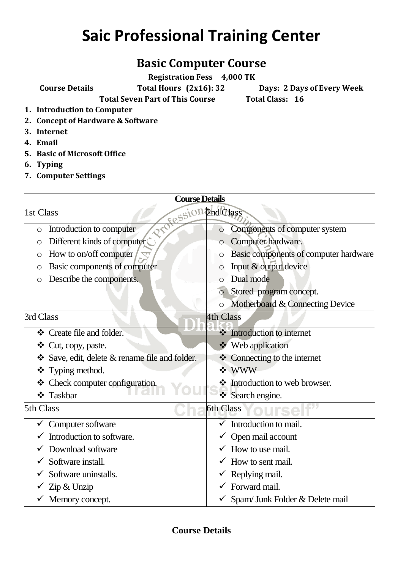## **Saic Professional Training Center**

## **Basic Computer Course**

**Registration Fess 4,000 TK**

**Course Details Total Hours (2x16): 32 Days: 2 Days of Every Week Total Seven Part of This Course Total Class: 16**

- **1. Introduction to Computer**
- **2. Concept of Hardware & Software**
- **3. Internet**
- **4. Email**
- **5. Basic of Microsoft Office**
- **6. Typing**
- **7. Computer Settings**

| <b>Course Details</b>             |                                              |                  |                                       |  |
|-----------------------------------|----------------------------------------------|------------------|---------------------------------------|--|
| 2nd Class<br>1st Class<br>Fession |                                              |                  |                                       |  |
| O                                 | Introduction to computer                     | $\circ$          | Components of computer system         |  |
| $\circ$                           | Different kinds of computer                  | $\circ$          | Computer hardware.                    |  |
| O                                 | How to on/off computer                       | O                | Basic components of computer hardware |  |
| О                                 | Basic components of computer                 | Ο                | Input & output device                 |  |
| O                                 | Describe the components.                     | ◯                | Dual mode                             |  |
|                                   |                                              |                  | Stored program concept.               |  |
|                                   |                                              | $\circ$          | Motherboard & Connecting Device       |  |
| 3rd Class                         |                                              | <b>4th Class</b> |                                       |  |
|                                   | ❖ Create file and folder.                    |                  | introduction to internet              |  |
|                                   | ❖ Cut, copy, paste.                          |                  | ❖ Web application                     |  |
|                                   | Save, edit, delete & rename file and folder. |                  | ❖ Connecting to the internet          |  |
| ❖                                 | Typing method.                               |                  | * WWW                                 |  |
|                                   | ❖ Check computer configuration.              |                  | ❖ Introduction to web browser.        |  |
|                                   | ❖ Taskbar                                    |                  | Search engine.                        |  |
| 5th Class                         |                                              |                  | <b>6th Class</b><br>urse              |  |
| $\checkmark$                      | Computer software                            |                  | Introduction to mail.                 |  |
|                                   | Introduction to software.                    |                  | Open mail account                     |  |
|                                   | Download software                            |                  | How to use mail.                      |  |
|                                   | Software install.                            |                  | How to sent mail.                     |  |
|                                   | Software uninstalls.                         |                  | Replying mail.                        |  |
|                                   | Zip & Unzip                                  |                  | Forward mail.                         |  |
|                                   | Memory concept.                              |                  | Spam/ Junk Folder & Delete mail       |  |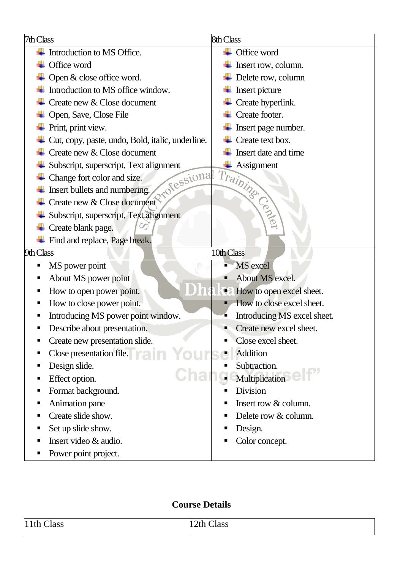| 7th Class                                        | 8th Class                           |
|--------------------------------------------------|-------------------------------------|
| Introduction to MS Office.                       | Office word                         |
| Office word                                      | Insert row, column.                 |
| Open & close office word.                        | Delete row, column                  |
| Introduction to MS office window.                | Insert picture                      |
| Create new & Close document                      | Create hyperlink.                   |
| Open, Save, Close File                           | Create footer.                      |
| Print, print view.                               | Insert page number.                 |
| Cut, copy, paste, undo, Bold, italic, underline. | Create text box.                    |
| Create new & Close document                      | Insert date and time                |
| Subscript, superscript, Text alignment           | Assignment                          |
| rotessional<br>Change fort color and size.       | Training                            |
| Insert bullets and numbering.                    |                                     |
| Create new & Close document                      |                                     |
| Subscript, superscript, Text alignment           |                                     |
| Create blank page.                               |                                     |
| Find and replace, Page break.                    |                                     |
|                                                  |                                     |
| 9th Class                                        | 10th Class                          |
| MS power point<br>Ξ                              | MS excel<br>п                       |
| About MS power point                             | About MS excel.                     |
| How to open power point.<br>ш                    | How to open excel sheet.            |
| How to close power point.                        | How to close excel sheet.           |
| Introducing MS power point window.               | Introducing MS excel sheet.         |
| Describe about presentation.                     | Create new excel sheet.             |
| Create new presentation slide.                   | Close excel sheet.                  |
| Close presentation file. <b>Train</b> Yours      | <b>Addition</b>                     |
| Design slide.                                    | Subtraction.                        |
| Chah<br>Effect option.                           | Ĥ.                                  |
| Format background.<br>ш                          | Multiplication &<br><b>Division</b> |
| Animation pane<br>ш                              | Insert row & column.<br>п           |
| Create slide show.                               | Delete row & column.                |
| Set up slide show.<br>ш                          | Design.<br>ш                        |
| Insert video & audio.<br>ш                       | Color concept.<br>п                 |

## **Course Details**